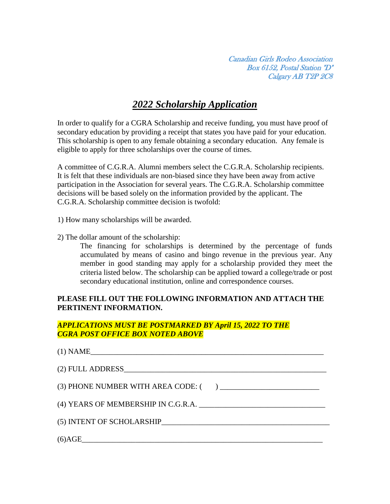Canadian Girls Rodeo Association Box 6152, Postal Station "D" Calgary AB T2P 2C8

# *2022 Scholarship Application*

In order to qualify for a CGRA Scholarship and receive funding, you must have proof of secondary education by providing a receipt that states you have paid for your education. This scholarship is open to any female obtaining a secondary education. Any female is eligible to apply for three scholarships over the course of times.

A committee of C.G.R.A. Alumni members select the C.G.R.A. Scholarship recipients. It is felt that these individuals are non-biased since they have been away from active participation in the Association for several years. The C.G.R.A. Scholarship committee decisions will be based solely on the information provided by the applicant. The C.G.R.A. Scholarship committee decision is twofold:

1) How many scholarships will be awarded.

2) The dollar amount of the scholarship:

The financing for scholarships is determined by the percentage of funds accumulated by means of casino and bingo revenue in the previous year. Any member in good standing may apply for a scholarship provided they meet the criteria listed below. The scholarship can be applied toward a college/trade or post secondary educational institution, online and correspondence courses.

# **PLEASE FILL OUT THE FOLLOWING INFORMATION AND ATTACH THE PERTINENT INFORMATION.**

## *APPLICATIONS MUST BE POSTMARKED BY April 15, 2022 TO THE CGRA POST OFFICE BOX NOTED ABOVE*

| $(1)$ NAME                          |  |
|-------------------------------------|--|
|                                     |  |
|                                     |  |
| (4) YEARS OF MEMBERSHIP IN C.G.R.A. |  |
| (5) INTENT OF SCHOLARSHIP           |  |
| $(6) \text{AGE}$                    |  |